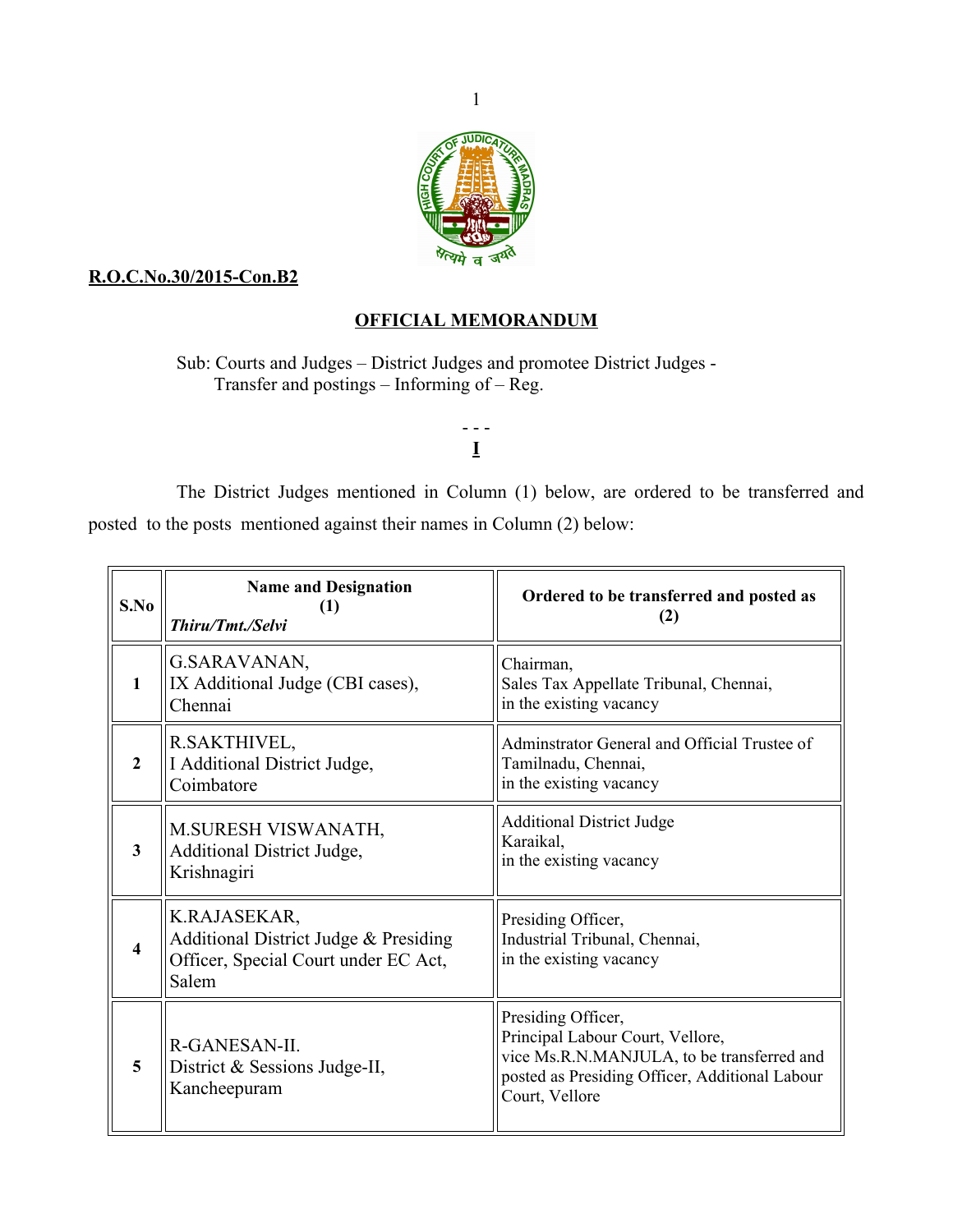

## **R.O.C.No.30/2015-Con.B2**

## **OFFICIAL MEMORANDUM**

Sub: Courts and Judges – District Judges and promotee District Judges - Transfer and postings – Informing of – Reg.

## - - - **I**

The District Judges mentioned in Column (1) below, are ordered to be transferred and posted to the posts mentioned against their names in Column (2) below:

| S.No             | <b>Name and Designation</b><br>(1)<br>Thiru/Tmt./Selvi                                                 | Ordered to be transferred and posted as<br>(2)                                                                                                                           |
|------------------|--------------------------------------------------------------------------------------------------------|--------------------------------------------------------------------------------------------------------------------------------------------------------------------------|
| 1                | G.SARAVANAN,<br>IX Additional Judge (CBI cases),<br>Chennai                                            | Chairman,<br>Sales Tax Appellate Tribunal, Chennai,<br>in the existing vacancy                                                                                           |
| $\mathbf{2}$     | R.SAKTHIVEL,<br>I Additional District Judge,<br>Coimbatore                                             | Adminstrator General and Official Trustee of<br>Tamilnadu, Chennai,<br>in the existing vacancy                                                                           |
| 3                | M.SURESH VISWANATH,<br>Additional District Judge,<br>Krishnagiri                                       | <b>Additional District Judge</b><br>Karaikal,<br>in the existing vacancy                                                                                                 |
| $\boldsymbol{4}$ | K.RAJASEKAR,<br>Additional District Judge & Presiding<br>Officer, Special Court under EC Act,<br>Salem | Presiding Officer,<br>Industrial Tribunal, Chennai,<br>in the existing vacancy                                                                                           |
| 5                | R-GANESAN-II.<br>District & Sessions Judge-II,<br>Kancheepuram                                         | Presiding Officer,<br>Principal Labour Court, Vellore,<br>vice Ms.R.N.MANJULA, to be transferred and<br>posted as Presiding Officer, Additional Labour<br>Court, Vellore |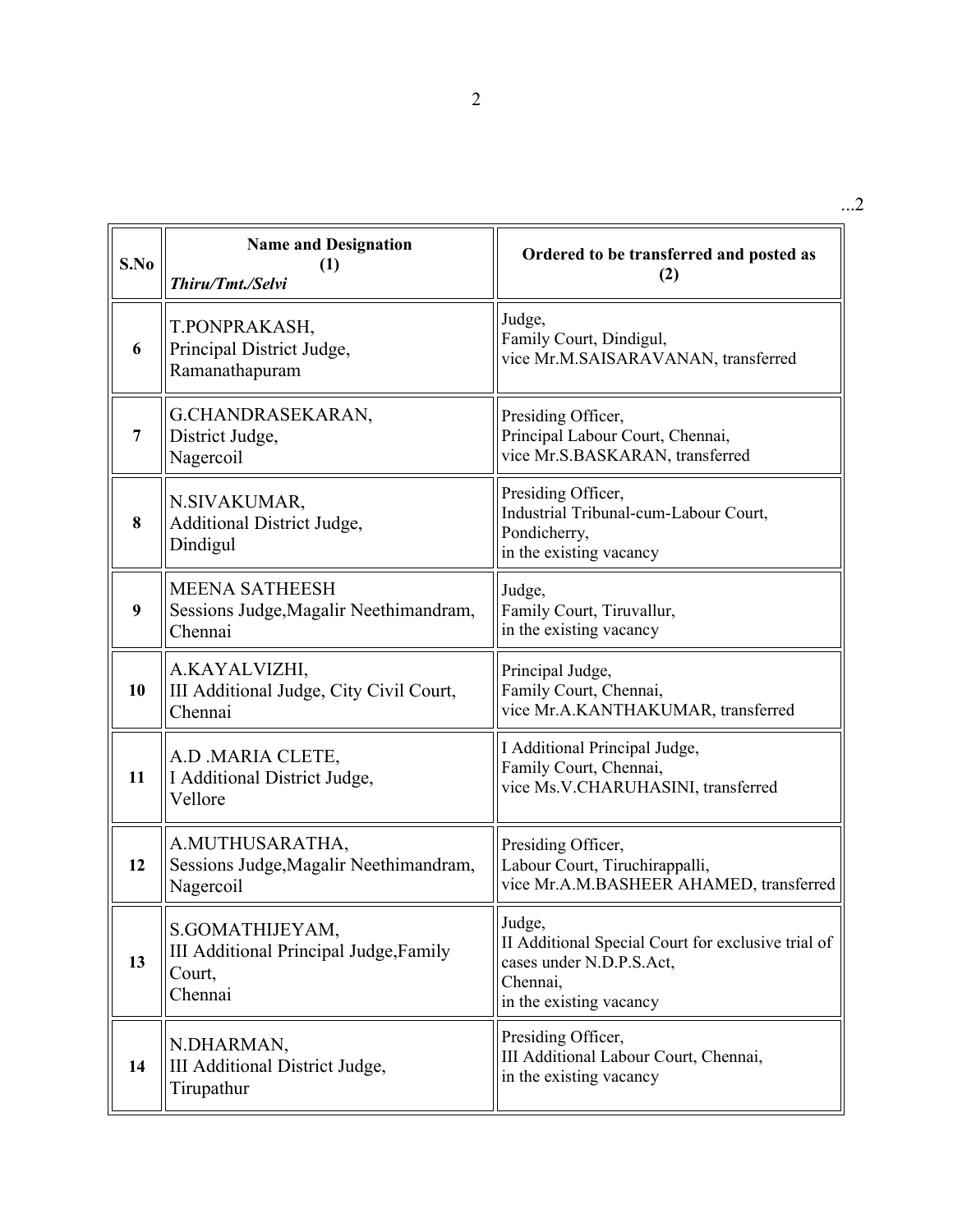| S.No | <b>Name and Designation</b><br>(1)<br>Thiru/Tmt./Selvi                         | Ordered to be transferred and posted as<br>(2)                                                                                  |
|------|--------------------------------------------------------------------------------|---------------------------------------------------------------------------------------------------------------------------------|
| 6    | T.PONPRAKASH,<br>Principal District Judge,<br>Ramanathapuram                   | Judge,<br>Family Court, Dindigul,<br>vice Mr.M.SAISARAVANAN, transferred                                                        |
| 7    | G.CHANDRASEKARAN,<br>District Judge,<br>Nagercoil                              | Presiding Officer,<br>Principal Labour Court, Chennai,<br>vice Mr.S.BASKARAN, transferred                                       |
| 8    | N.SIVAKUMAR,<br><b>Additional District Judge,</b><br>Dindigul                  | Presiding Officer,<br>Industrial Tribunal-cum-Labour Court,<br>Pondicherry,<br>in the existing vacancy                          |
| 9    | <b>MEENA SATHEESH</b><br>Sessions Judge, Magalir Neethimandram,<br>Chennai     | Judge,<br>Family Court, Tiruvallur,<br>in the existing vacancy                                                                  |
| 10   | A.KAYALVIZHI,<br>III Additional Judge, City Civil Court,<br>Chennai            | Principal Judge,<br>Family Court, Chennai,<br>vice Mr.A.KANTHAKUMAR, transferred                                                |
| 11   | A.D .MARIA CLETE,<br>I Additional District Judge,<br>Vellore                   | I Additional Principal Judge,<br>Family Court, Chennai,<br>vice Ms.V.CHARUHASINI, transferred                                   |
| 12   | A.MUTHUSARATHA,<br>Sessions Judge, Magalir Neethimandram,<br>Nagercoil         | Presiding Officer,<br>Labour Court, Tiruchirappalli,<br>vice Mr.A.M.BASHEER AHAMED, transferred                                 |
| 13   | S.GOMATHIJEYAM,<br>III Additional Principal Judge, Family<br>Court,<br>Chennai | Judge,<br>II Additional Special Court for exclusive trial of<br>cases under N.D.P.S.Act,<br>Chennai,<br>in the existing vacancy |
| 14   | N.DHARMAN,<br>III Additional District Judge,<br>Tirupathur                     | Presiding Officer,<br>III Additional Labour Court, Chennai,<br>in the existing vacancy                                          |

...2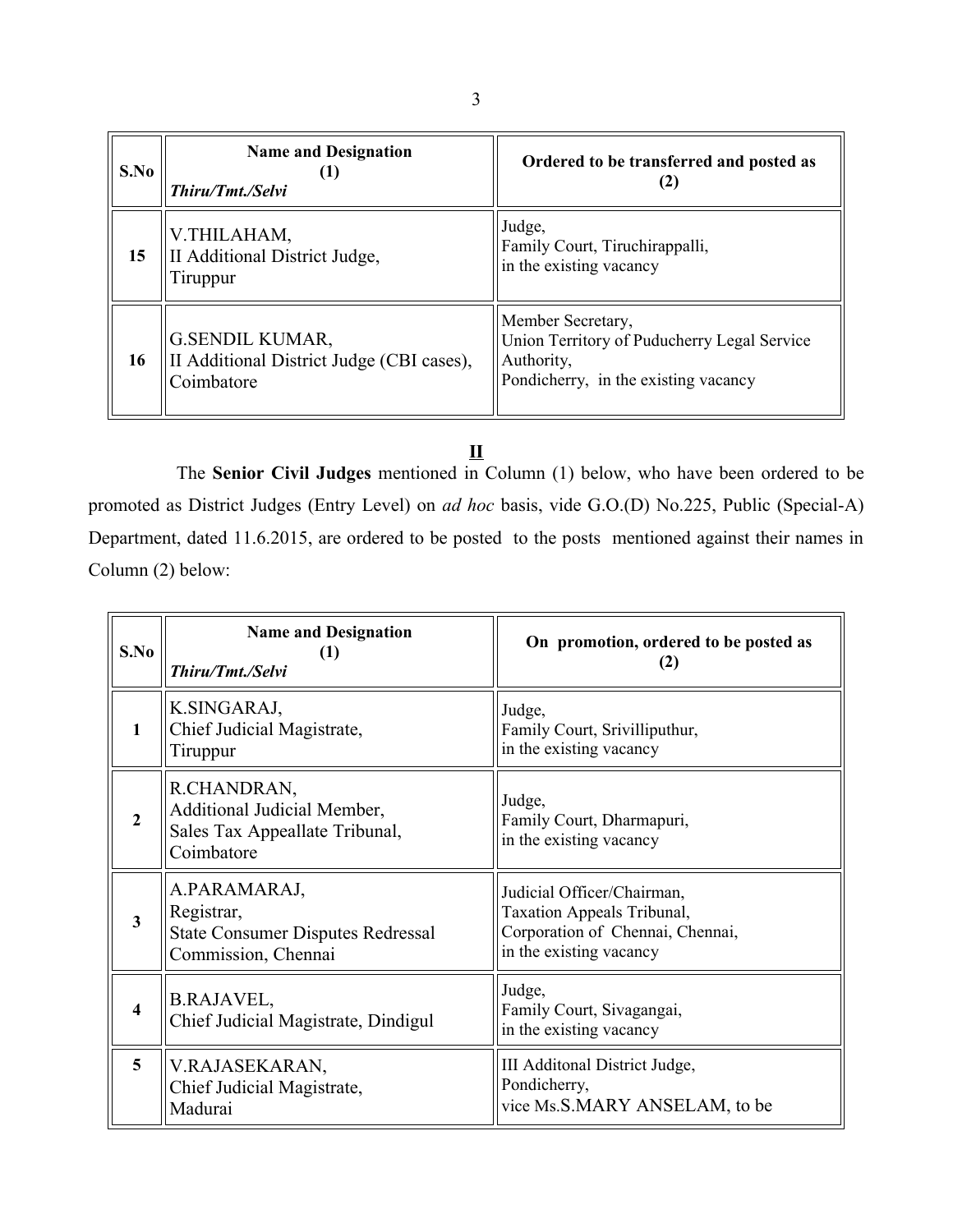| S.No | <b>Name and Designation</b><br>Thiru/Tmt./Selvi                                   | Ordered to be transferred and posted as                                                                                |
|------|-----------------------------------------------------------------------------------|------------------------------------------------------------------------------------------------------------------------|
| 15   | V.THILAHAM,<br>II Additional District Judge,<br>Tiruppur                          | Judge,<br>Family Court, Tiruchirappalli,<br>in the existing vacancy                                                    |
| 16   | <b>G.SENDIL KUMAR,</b><br>II Additional District Judge (CBI cases),<br>Coimbatore | Member Secretary,<br>Union Territory of Puducherry Legal Service<br>Authority,<br>Pondicherry, in the existing vacancy |

## **II**

The **Senior Civil Judges** mentioned in Column (1) below, who have been ordered to be promoted as District Judges (Entry Level) on *ad hoc* basis, vide G.O.(D) No.225, Public (Special-A) Department, dated 11.6.2015, are ordered to be posted to the posts mentioned against their names in Column (2) below:

| S.No                    | <b>Name and Designation</b><br>(1)<br>Thiru/Tmt./Selvi                                        | On promotion, ordered to be posted as<br>(2)                                                                            |
|-------------------------|-----------------------------------------------------------------------------------------------|-------------------------------------------------------------------------------------------------------------------------|
| 1                       | K.SINGARAJ,<br>Chief Judicial Magistrate,<br>Tiruppur                                         | Judge,<br>Family Court, Srivilliputhur,<br>in the existing vacancy                                                      |
| $\overline{2}$          | R.CHANDRAN,<br>Additional Judicial Member,<br>Sales Tax Appeallate Tribunal,<br>Coimbatore    | Judge,<br>Family Court, Dharmapuri,<br>in the existing vacancy                                                          |
| $\overline{\mathbf{3}}$ | A.PARAMARAJ,<br>Registrar,<br><b>State Consumer Disputes Redressal</b><br>Commission, Chennai | Judicial Officer/Chairman,<br>Taxation Appeals Tribunal,<br>Corporation of Chennai, Chennai,<br>in the existing vacancy |
| 4                       | B.RAJAVEL,<br>Chief Judicial Magistrate, Dindigul                                             | Judge,<br>Family Court, Sivagangai,<br>in the existing vacancy                                                          |
| $\overline{5}$          | V.RAJASEKARAN,<br>Chief Judicial Magistrate,<br>Madurai                                       | III Additonal District Judge,<br>Pondicherry,<br>vice Ms.S.MARY ANSELAM, to be                                          |